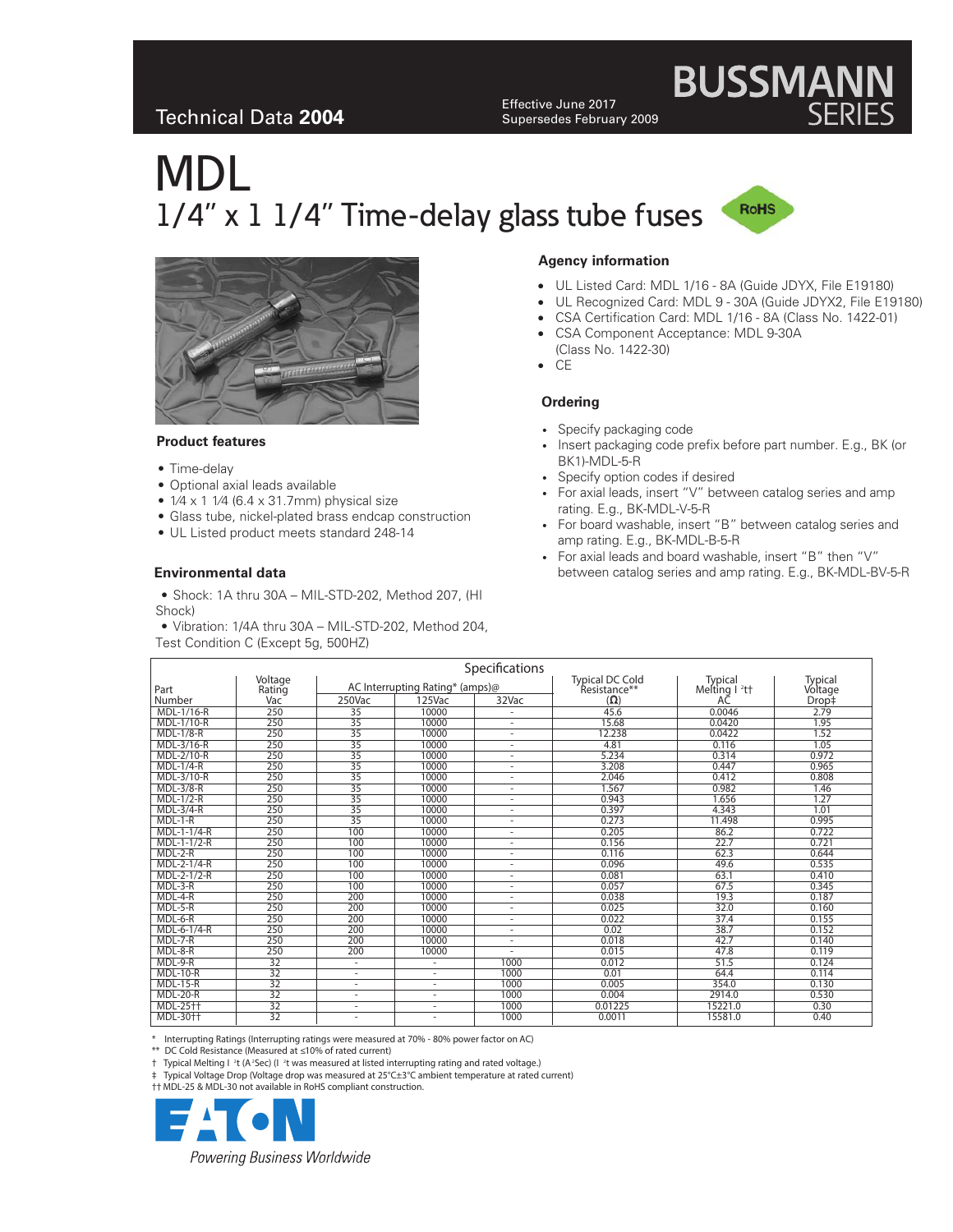## Technical Data **2004**

Effective June 2017 Supersedes February 2009

# MDL 1/4" x 1 1/4" Time-delay glass tube fuses



**BUSSMANN**<br>SERIES



### **Product features**

- Time-delay
- Optional axial leads available
- $\bullet$  1/4 x 1 1/4 (6.4 x 31.7mm) physical size
- Glass tube, nickel-plated brass endcap construction
- UL Listed product meets standard 248-14

### **Environmental data**

- Shock: 1A thru 30A MIL-STD-202, Method 207, (HI Shock)
- Vibration: 1/4A thru 30A MIL-STD-202, Method 204, Test Condition C (Except 5g, 500HZ)

### **Agency information**

- UL Listed Card: MDL 1/16 8A (Guide JDYX, File E19180)
- UL Recognized Card: MDL 9 30A (Guide JDYX2, File E19180)
- CSA Certification Card: MDL 1/16 8A (Class No. 1422-01)
- CSA Component Acceptance: MDL 9-30A (Class No. 1422-30)
- CE

### **Ordering**

- Specify packaging code
- Insert packaging code prefix before part number. E.g., BK (or BK1)-MDL-5-R
- Specify option codes if desired
- For axial leads, insert "V" between catalog series and amp rating. E.g., BK-MDL-V-5-R
- For board washable, insert "B" between catalog series and amp rating. E.g., BK-MDL-B-5-R
- For axial leads and board washable, insert "B" then "V" between catalog series and amp rating. E.g., BK-MDL-BV-5-R

|                  |                 |                                 |                          | Specifications                                       |                            |                      |                  |
|------------------|-----------------|---------------------------------|--------------------------|------------------------------------------------------|----------------------------|----------------------|------------------|
|                  | Voltage         | AC Interrupting Rating* (amps)@ |                          |                                                      | <b>Typical DC Cold</b>     | Typical              | Typical          |
| Part<br>Number   | Rating<br>Vac   | 250Vac                          | $125$ Vac                | 32Vac                                                | Resistance**<br>$(\Omega)$ | Melting $l^2t$<br>AC | Voltage<br>Drop‡ |
| MDL-1/16-R       | 250             | 35                              | 10000                    |                                                      | 45.6                       | 0.0046               | 2.79             |
| MDL-1/10-R       | 250             | 35                              | 10000                    | ٠                                                    | 15.68                      | 0.0420               | 1.95             |
| <b>MDL-1/8-R</b> | 250             | 35                              | 10000                    | $\overline{\phantom{a}}$                             | 12.238                     | 0.0422               | 1.52             |
| MDL-3/16-R       | 250             | 35                              | 10000                    | ٠                                                    | 4.81                       | 0.116                | 1.05             |
| MDL-2/10-R       | 250             | 35                              | 10000                    | ٠                                                    | 5.234                      | 0.314                | 0.972            |
| $MDL-1/4-R$      | 250             | 35                              | 10000                    | ٠                                                    | 3.208                      | 0.447                | 0.965            |
| MDL-3/10-R       | 250             | 35                              | 10000                    | ٠                                                    | 2.046                      | 0.412                | 0.808            |
| <b>MDL-3/8-R</b> | 250             | 35                              | 10000                    | $\overline{\phantom{a}}$                             | 1.567                      | 0.982                | 1.46             |
| $MDL-1/2-R$      | 250             | $\overline{35}$                 | 10000                    |                                                      | 0.943                      | 1.656                | 1.27             |
| $MDL-3/4-R$      | 250             | 35                              | 10000                    | ٠                                                    | 0.397                      | 4.343                | 1.01             |
| $MDL-1-R$        | 250             | 35                              | 10000                    | $\overline{\phantom{a}}$                             | 0.273                      | 11.498               | 0.995            |
| MDL-1-1/4-R      | 250             | 100                             | 10000                    | $\overline{\phantom{a}}$                             | 0.205                      | 86.2                 | 0.722            |
| MDL-1-1/2-R      | 250             | 100                             | 10000                    | $\overline{\phantom{a}}$                             | 0.156                      | 22.7                 | 0.721            |
| $MDL-2-R$        | 250             | 100                             | 10000                    | $\overline{\phantom{a}}$                             | 0.116                      | 62.3                 | 0.644            |
| MDL-2-1/4-R      | 250             | 100                             | 10000                    | $\overline{\phantom{a}}$                             | 0.096                      | 49.6                 | 0.535            |
| MDL-2-1/2-R      | 250             | 100                             | 10000                    |                                                      |                            | 63.1                 | 0.410            |
| $MDL-3-R$        | 250             | 100                             | 10000                    | $\overline{\phantom{a}}$<br>$\overline{\phantom{a}}$ | 0.081<br>0.057             | 67.5                 | 0.345            |
| $MDL-4-R$        | 250             | 200                             | 10000                    |                                                      | 0.038                      | 19.3                 | 0.187            |
|                  |                 |                                 |                          |                                                      |                            |                      |                  |
| $MDL-5-R$        | 250             | 200                             | 10000                    |                                                      | 0.025                      | 32.0                 | 0.160            |
| MDL-6-R          | 250             | 200                             | 10000                    | $\overline{\phantom{a}}$                             | 0.022                      | 37.4                 | 0.155            |
| MDL-6-1/4-R      | 250             | 200                             | 10000                    | $\overline{\phantom{a}}$                             | 0.02                       | 38.7                 | 0.152            |
| $MDL-7-R$        | 250             | 200                             | 10000                    | ٠                                                    | 0.018                      | 42.7                 | 0.140            |
| $MDL-8-R$        | 250             | 200                             | 10000                    |                                                      | 0.015                      | 47.8                 | 0.119            |
| $MDL-9-R$        | $\overline{32}$ | ٠                               |                          | 1000                                                 | 0.012                      | 51.5                 | 0.124            |
| $MDL-10-R$       | 32              | ٠                               | ٠                        | 1000                                                 | 0.01                       | 64.4                 | 0.114            |
| $MDL-15-R$       | $\overline{32}$ | $\overline{\phantom{a}}$        | $\overline{\phantom{a}}$ | 1000                                                 | 0.005                      | 354.0                | 0.130            |
| $MDL-20-R$       | $\overline{32}$ | ٠                               | ٠                        | 1000                                                 | 0.004                      | 2914.0               | 0.530            |
| MDL-25++         | $\overline{32}$ | $\overline{\phantom{a}}$        | $\overline{\phantom{a}}$ | 1000                                                 | 0.01225                    | 15221.0              | 0.30             |
| MDL-30++         | $\overline{32}$ | ٠                               |                          | 1000                                                 | 0.0011                     | 15581.0              | 0.40             |

Interrupting Ratings (Interrupting ratings were measured at 70% - 80% power factor on AC)

\*\* DC Cold Resistance (Measured at ≤10% of rated current)

† Typical Melting I <sup>2</sup>t (A<sup>2</sup>Sec) (I <sup>2</sup>t was measured at listed interrupting rating and rated voltage.)

Typical Voltage Drop (Voltage drop was measured at 25°C±3°C ambient temperature at rated current)